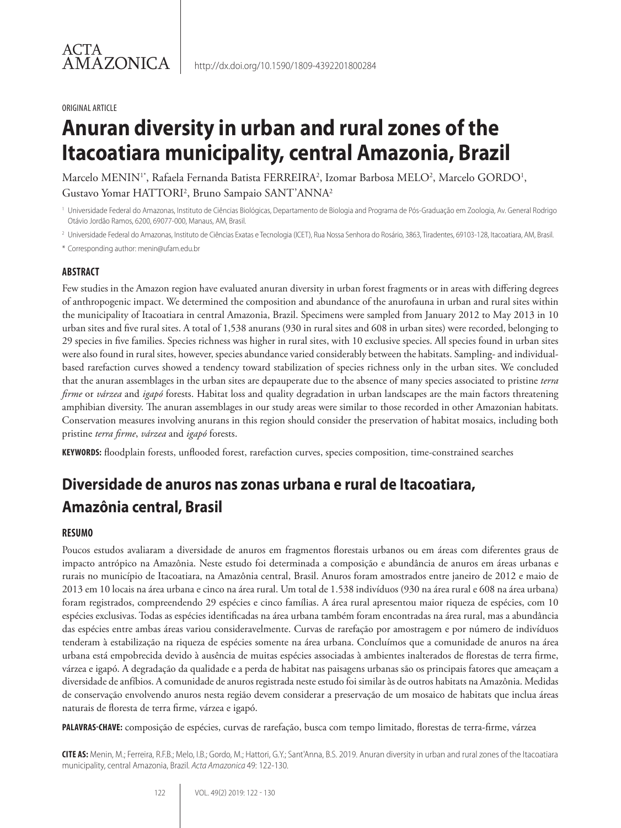#### ORIGINAL ARTICLE

# **Anuran diversity in urban and rural zones of the Itacoatiara municipality, central Amazonia, Brazil**

Marcelo MENIN<sup>1\*</sup>, Rafaela Fernanda Batista FERREIRA<sup>2</sup>, Izomar Barbosa MELO<sup>2</sup>, Marcelo GORDO<sup>1</sup>, Gustavo Yomar HATTORI<sup>2</sup>, Bruno Sampaio SANT'ANNA<sup>2</sup>

<sup>1</sup> Universidade Federal do Amazonas, Instituto de Ciências Biológicas, Departamento de Biologia and Programa de Pós-Graduação em Zoologia, Av. General Rodrigo Otávio Jordão Ramos, 6200, 69077-000, Manaus, AM, Brasil.

<sup>2</sup> Universidade Federal do Amazonas, Instituto de Ciências Exatas e Tecnologia (ICET), Rua Nossa Senhora do Rosário, 3863, Tiradentes, 69103-128, Itacoatiara, AM, Brasil.

\* Corresponding author: menin@ufam.edu.br

#### **ABSTRACT**

Few studies in the Amazon region have evaluated anuran diversity in urban forest fragments or in areas with differing degrees of anthropogenic impact. We determined the composition and abundance of the anurofauna in urban and rural sites within the municipality of Itacoatiara in central Amazonia, Brazil. Specimens were sampled from January 2012 to May 2013 in 10 urban sites and five rural sites. A total of 1,538 anurans (930 in rural sites and 608 in urban sites) were recorded, belonging to 29 species in five families. Species richness was higher in rural sites, with 10 exclusive species. All species found in urban sites were also found in rural sites, however, species abundance varied considerably between the habitats. Sampling- and individualbased rarefaction curves showed a tendency toward stabilization of species richness only in the urban sites. We concluded that the anuran assemblages in the urban sites are depauperate due to the absence of many species associated to pristine *terra firme* or *várzea* and *igapó* forests. Habitat loss and quality degradation in urban landscapes are the main factors threatening amphibian diversity. The anuran assemblages in our study areas were similar to those recorded in other Amazonian habitats. Conservation measures involving anurans in this region should consider the preservation of habitat mosaics, including both pristine *terra firme*, *várzea* and *igapó* forests.

**KEYWORDS:** floodplain forests, unflooded forest, rarefaction curves, species composition, time-constrained searches

## **Diversidade de anuros nas zonas urbana e rural de Itacoatiara, Amazônia central, Brasil**

#### **RESUMO**

Poucos estudos avaliaram a diversidade de anuros em fragmentos florestais urbanos ou em áreas com diferentes graus de impacto antrópico na Amazônia. Neste estudo foi determinada a composição e abundância de anuros em áreas urbanas e rurais no município de Itacoatiara, na Amazônia central, Brasil. Anuros foram amostrados entre janeiro de 2012 e maio de 2013 em 10 locais na área urbana e cinco na área rural. Um total de 1.538 indivíduos (930 na área rural e 608 na área urbana) foram registrados, compreendendo 29 espécies e cinco famílias. A área rural apresentou maior riqueza de espécies, com 10 espécies exclusivas. Todas as espécies identificadas na área urbana também foram encontradas na área rural, mas a abundância das espécies entre ambas áreas variou consideravelmente. Curvas de rarefação por amostragem e por número de indivíduos tenderam à estabilização na riqueza de espécies somente na área urbana. Concluímos que a comunidade de anuros na área urbana está empobrecida devido à ausência de muitas espécies associadas à ambientes inalterados de florestas de terra firme, várzea e igapó. A degradação da qualidade e a perda de habitat nas paisagens urbanas são os principais fatores que ameaçam a diversidade de anfíbios. A comunidade de anuros registrada neste estudo foi similar às de outros habitats na Amazônia. Medidas de conservação envolvendo anuros nesta região devem considerar a preservação de um mosaico de habitats que inclua áreas naturais de floresta de terra firme, várzea e igapó.

**PALAVRAS-CHAVE:** composição de espécies, curvas de rarefação, busca com tempo limitado, florestas de terra-firme, várzea

**CITE AS:** Menin, M.; Ferreira, R.F.B.; Melo, I.B.; Gordo, M.; Hattori, G.Y.; Sant'Anna, B.S. 2019. Anuran diversity in urban and rural zones of the Itacoatiara municipality, central Amazonia, Brazil. *Acta Amazonica* 49: 122-130.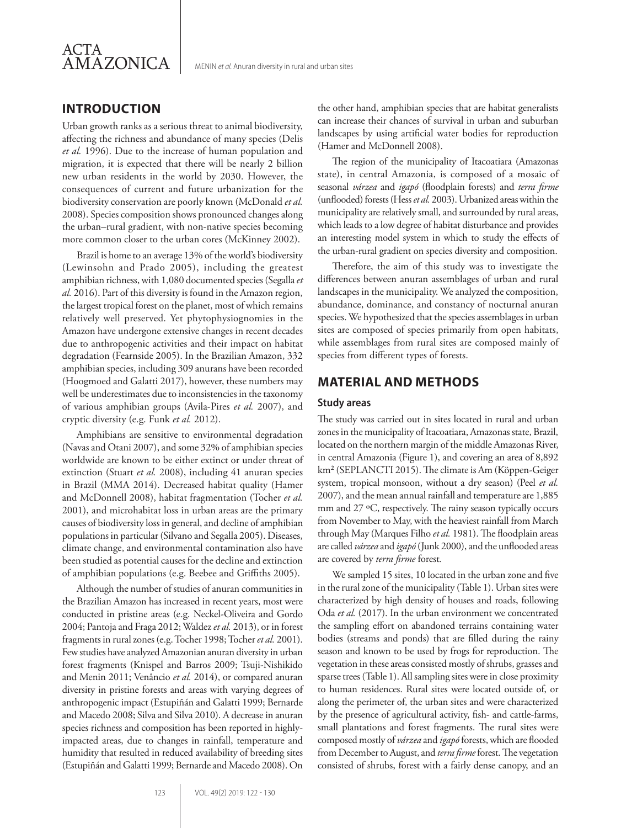

## **INTRODUCTION**

Urban growth ranks as a serious threat to animal biodiversity, affecting the richness and abundance of many species (Delis *et al.* 1996). Due to the increase of human population and migration, it is expected that there will be nearly 2 billion new urban residents in the world by 2030. However, the consequences of current and future urbanization for the biodiversity conservation are poorly known (McDonald *et al.* 2008). Species composition shows pronounced changes along the urban–rural gradient, with non-native species becoming more common closer to the urban cores (McKinney 2002).

Brazil is home to an average 13% of the world's biodiversity (Lewinsohn and Prado 2005), including the greatest amphibian richness, with 1,080 documented species (Segalla *et al.* 2016). Part of this diversity is found in the Amazon region, the largest tropical forest on the planet, most of which remains relatively well preserved. Yet phytophysiognomies in the Amazon have undergone extensive changes in recent decades due to anthropogenic activities and their impact on habitat degradation (Fearnside 2005). In the Brazilian Amazon, 332 amphibian species, including 309 anurans have been recorded (Hoogmoed and Galatti 2017), however, these numbers may well be underestimates due to inconsistencies in the taxonomy of various amphibian groups (Avila-Pires *et al.* 2007), and cryptic diversity (e.g. Funk *et al.* 2012).

Amphibians are sensitive to environmental degradation (Navas and Otani 2007), and some 32% of amphibian species worldwide are known to be either extinct or under threat of extinction (Stuart *et al.* 2008), including 41 anuran species in Brazil (MMA 2014). Decreased habitat quality (Hamer and McDonnell 2008), habitat fragmentation (Tocher *et al.* 2001), and microhabitat loss in urban areas are the primary causes of biodiversity loss in general, and decline of amphibian populations in particular (Silvano and Segalla 2005). Diseases, climate change, and environmental contamination also have been studied as potential causes for the decline and extinction of amphibian populations (e.g. Beebee and Griffiths 2005).

Although the number of studies of anuran communities in the Brazilian Amazon has increased in recent years, most were conducted in pristine areas (e.g. Neckel-Oliveira and Gordo 2004; Pantoja and Fraga 2012; Waldez *et al.* 2013), or in forest fragments in rural zones (e.g. Tocher 1998; Tocher *et al.* 2001). Few studies have analyzed Amazonian anuran diversity in urban forest fragments (Knispel and Barros 2009; Tsuji-Nishikido and Menin 2011; Venâncio *et al.* 2014), or compared anuran diversity in pristine forests and areas with varying degrees of anthropogenic impact (Estupiñán and Galatti 1999; Bernarde and Macedo 2008; Silva and Silva 2010). A decrease in anuran species richness and composition has been reported in highlyimpacted areas, due to changes in rainfall, temperature and humidity that resulted in reduced availability of breeding sites (Estupiñán and Galatti 1999; Bernarde and Macedo 2008). On

the other hand, amphibian species that are habitat generalists can increase their chances of survival in urban and suburban landscapes by using artificial water bodies for reproduction (Hamer and McDonnell 2008).

The region of the municipality of Itacoatiara (Amazonas state), in central Amazonia, is composed of a mosaic of seasonal *várzea* and *igapó* (floodplain forests) and *terra firme*  (unflooded) forests (Hess *et al.* 2003). Urbanized areas within the municipality are relatively small, and surrounded by rural areas, which leads to a low degree of habitat disturbance and provides an interesting model system in which to study the effects of the urban-rural gradient on species diversity and composition.

Therefore, the aim of this study was to investigate the differences between anuran assemblages of urban and rural landscapes in the municipality. We analyzed the composition, abundance, dominance, and constancy of nocturnal anuran species. We hypothesized that the species assemblages in urban sites are composed of species primarily from open habitats, while assemblages from rural sites are composed mainly of species from different types of forests.

## **MATERIAL AND METHODS**

#### **Study areas**

The study was carried out in sites located in rural and urban zones in the municipality of Itacoatiara, Amazonas state, Brazil, located on the northern margin of the middle Amazonas River, in central Amazonia (Figure 1), and covering an area of 8,892 km² (SEPLANCTI 2015). The climate is Am (Köppen-Geiger system, tropical monsoon, without a dry season) (Peel *et al.* 2007), and the mean annual rainfall and temperature are 1,885 mm and 27 ºC, respectively. The rainy season typically occurs from November to May, with the heaviest rainfall from March through May (Marques Filho *et al.* 1981). The floodplain areas are called *várzea* and *igapó* (Junk 2000), and the unflooded areas are covered by *terra firme* forest*.*

We sampled 15 sites, 10 located in the urban zone and five in the rural zone of the municipality (Table 1). Urban sites were characterized by high density of houses and roads, following Oda *et al.* (2017). In the urban environment we concentrated the sampling effort on abandoned terrains containing water bodies (streams and ponds) that are filled during the rainy season and known to be used by frogs for reproduction. The vegetation in these areas consisted mostly of shrubs, grasses and sparse trees (Table 1). All sampling sites were in close proximity to human residences. Rural sites were located outside of, or along the perimeter of, the urban sites and were characterized by the presence of agricultural activity, fish- and cattle-farms, small plantations and forest fragments. The rural sites were composed mostly of *várzea* and *igapó* forests, which are flooded from December to August, and *terra firme* forest. The vegetation consisted of shrubs, forest with a fairly dense canopy, and an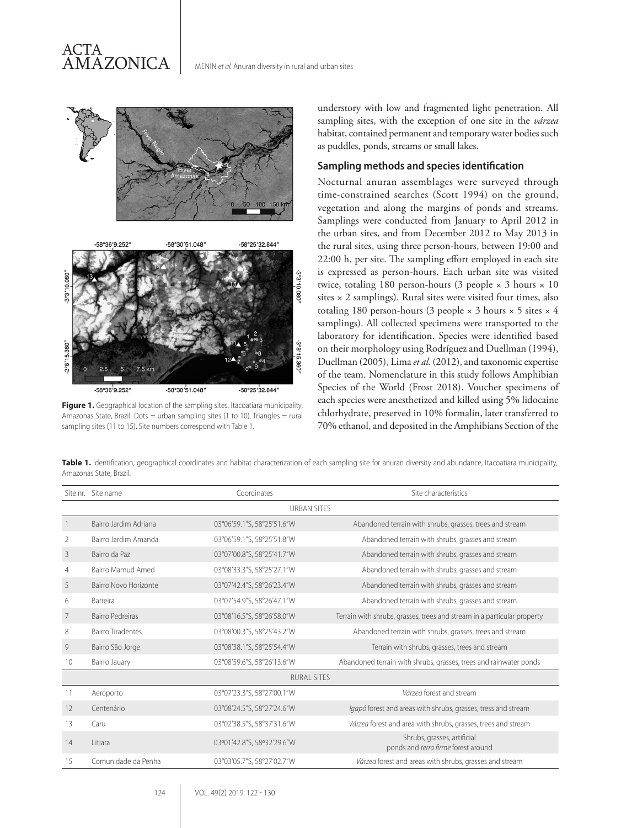





Figure 1. Geographical location of the sampling sites, Itacoatiara municipality, Amazonas State, Brazil. Dots = urban sampling sites (1 to 10). Triangles = rural sampling sites (11 to 15). Site numbers correspond with Table 1.

understory with low and fragmented light penetration. All sampling sites, with the exception of one site in the *várzea* habitat, contained permanent and temporary water bodies such as puddles, ponds, streams or small lakes.

#### **Sampling methods and species identification**

Nocturnal anuran assemblages were surveyed through time-constrained searches (Scott 1994) on the ground, vegetation and along the margins of ponds and streams. Samplings were conducted from January to April 2012 in the urban sites, and from December 2012 to May 2013 in the rural sites, using three person-hours, between 19:00 and 22:00 h, per site. The sampling effort employed in each site is expressed as person-hours. Each urban site was visited twice, totaling 180 person-hours (3 people  $\times$  3 hours  $\times$  10 sites  $\times$  2 samplings). Rural sites were visited four times, also totaling 180 person-hours (3 people  $\times$  3 hours  $\times$  5 sites  $\times$  4 samplings). All collected specimens were transported to the laboratory for identification. Species were identified based on their morphology using Rodríguez and Duellman (1994), Duellman (2005), Lima *et al.* (2012), and taxonomic expertise of the team. Nomenclature in this study follows Amphibian Species of the World (Frost 2018). Voucher specimens of each species were anesthetized and killed using 5% lidocaine chlorhydrate, preserved in 10% formalin, later transferred to 70% ethanol, and deposited in the Amphibians Section of the

**Table 1.** Identification, geographical coordinates and habitat characterization of each sampling site for anuran diversity and abundance, Itacoatiara municipality, Amazonas State, Brazil.

|    | Site nr. Site name<br>Coordinates<br>Site characteristics |                            |                                                                         |  |  |  |  |  |
|----|-----------------------------------------------------------|----------------------------|-------------------------------------------------------------------------|--|--|--|--|--|
|    | <b>URBAN SITES</b>                                        |                            |                                                                         |  |  |  |  |  |
|    | Bairro Jardim Adriana                                     | 03°06'59.1"S, 58°25'51.6"W | Abandoned terrain with shrubs, grasses, trees and stream                |  |  |  |  |  |
| 2  | Bairro Jardim Amanda                                      | 03°06'59.1"S, 58°25'51.8"W | Abandoned terrain with shrubs, grasses and stream                       |  |  |  |  |  |
| 3  | Bairro da Paz                                             | 03°07'00.8"S, 58°25'41.7"W | Abandoned terrain with shrubs, grasses and stream                       |  |  |  |  |  |
| 4  | Bairro Mamud Amed                                         | 03°08'33.3"S, 58°25'27.1"W | Abandoned terrain with shrubs, grasses and stream                       |  |  |  |  |  |
| 5  | Bairro Novo Horizonte                                     | 03°07'42.4"S, 58°26'23.4"W | Abandoned terrain with shrubs, grasses and stream                       |  |  |  |  |  |
| 6  | Barreira                                                  | 03°07'54.9"S, 58°26'47.1"W | Abandoned terrain with shrubs, grasses and stream                       |  |  |  |  |  |
| 7  | <b>Bairro Pedreiras</b>                                   | 03°08'16.5"S, 58°26'58.0"W | Terrain with shrubs, grasses, trees and stream in a particular property |  |  |  |  |  |
| 8  | <b>Bairro Tiradentes</b>                                  | 03°08'00.3"S, 58°25'43.2"W | Abandoned terrain with shrubs, grasses, trees and stream                |  |  |  |  |  |
| 9  | Bairro São Jorge                                          | 03°08'38.1"S, 58°25'54.4"W | Terrain with shrubs, grasses, trees and stream                          |  |  |  |  |  |
| 10 | Bairro Jauary                                             | 03°08'59.6"S, 58°26'13.6"W | Abandoned terrain with shrubs, grasses, trees and rainwater ponds       |  |  |  |  |  |
|    | <b>RURAL SITES</b>                                        |                            |                                                                         |  |  |  |  |  |
| 11 | Aeroporto                                                 | 03°07'23.3"S, 58°27'00.1"W | Várzea forest and stream                                                |  |  |  |  |  |
| 12 | Centenário                                                | 03°08'24.5"S, 58°27'24.6"W | Igapó forest and areas with shrubs, grasses, tress and stream           |  |  |  |  |  |
| 13 | Caru                                                      | 03°02'38.5"S, 58°37'31.6"W | Várzea forest and area with shrubs, grasses, trees and stream           |  |  |  |  |  |
| 14 | Litiara                                                   | 03°01'42.8"S, 58°32'29.6"W | Shrubs, grasses, artificial<br>ponds and terra firme forest around      |  |  |  |  |  |
| 15 | Comunidade da Penha                                       | 03°03'05.7"S, 58°27'02.7"W | Várzea forest and areas with shrubs, grasses and stream                 |  |  |  |  |  |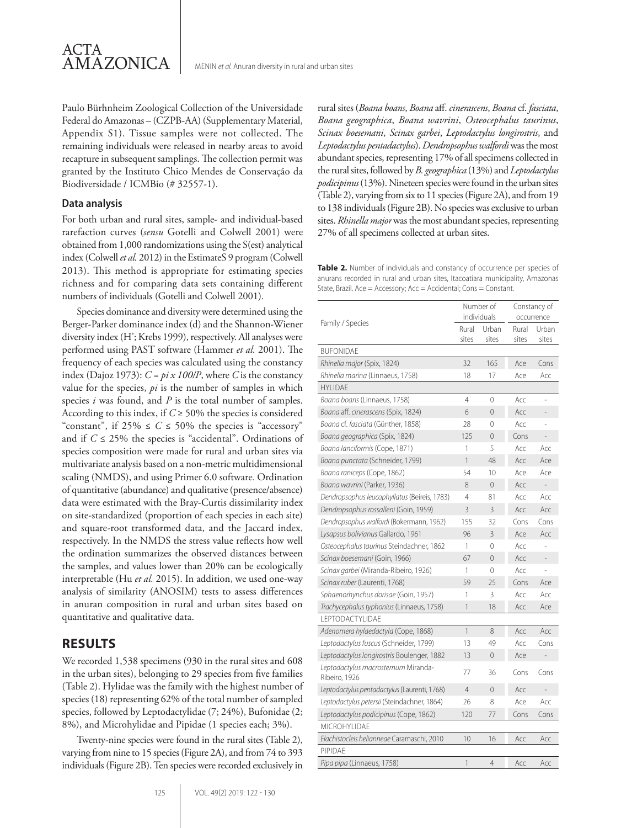

Paulo Bürhnheim Zoological Collection of the Universidade Federal do Amazonas – (CZPB-AA) (Supplementary Material, Appendix S1). Tissue samples were not collected. The remaining individuals were released in nearby areas to avoid recapture in subsequent samplings. The collection permit was granted by the Instituto Chico Mendes de Conservação da Biodiversidade / ICMBio (# 32557-1).

#### **Data analysis**

For both urban and rural sites, sample- and individual-based rarefaction curves (*sensu* Gotelli and Colwell 2001) were obtained from 1,000 randomizations using the S(est) analytical index (Colwell *et al.* 2012) in the EstimateS 9 program (Colwell 2013). This method is appropriate for estimating species richness and for comparing data sets containing different numbers of individuals (Gotelli and Colwell 2001).

Species dominance and diversity were determined using the Berger-Parker dominance index (d) and the Shannon-Wiener diversity index (H'; Krebs 1999), respectively. All analyses were performed using PAST software (Hammer *et al.* 2001). The frequency of each species was calculated using the constancy index (Dajoz 1973):  $C = \pi x 100/P$ , where *C* is the constancy value for the species, *pi* is the number of samples in which species *i* was found, and *P* is the total number of samples. According to this index, if  $C \geq 50\%$  the species is considered "constant", if  $25\% \leq C \leq 50\%$  the species is "accessory" and if  $C \leq 25\%$  the species is "accidental". Ordinations of species composition were made for rural and urban sites via multivariate analysis based on a non-metric multidimensional scaling (NMDS), and using Primer 6.0 software. Ordination of quantitative (abundance) and qualitative (presence/absence) data were estimated with the Bray-Curtis dissimilarity index on site-standardized (proportion of each species in each site) and square-root transformed data, and the Jaccard index, respectively. In the NMDS the stress value reflects how well the ordination summarizes the observed distances between the samples, and values lower than 20% can be ecologically interpretable (Hu *et al.* 2015). In addition, we used one-way analysis of similarity (ANOSIM) tests to assess differences in anuran composition in rural and urban sites based on quantitative and qualitative data.

### **RESULTS**

We recorded 1,538 specimens (930 in the rural sites and 608 in the urban sites), belonging to 29 species from five families (Table 2). Hylidae was the family with the highest number of species (18) representing 62% of the total number of sampled species, followed by Leptodactylidae (7; 24%), Bufonidae (2; 8%), and Microhylidae and Pipidae (1 species each; 3%).

Twenty-nine species were found in the rural sites (Table 2), varying from nine to 15 species (Figure 2A), and from 74 to 393 individuals (Figure 2B). Ten species were recorded exclusively in

rural sites (*Boana boans*, *Boana* aff. *cinerascens*, *Boana* cf. *fasciata*, *Boana geographica*, *Boana wavrini*, *Osteocephalus taurinus*, *Scinax boesemani*, *Scinax garbei*, *Leptodactylus longirostris*, and *Leptodactylus pentadactylus*). *Dendropsophus walfordi* was the most abundant species, representing 17% of all specimens collected in the rural sites, followed by *B. geographica* (13%) and *Leptodactylus podicipinus* (13%). Nineteen species were found in the urban sites (Table 2), varying from six to 11 species (Figure 2A), and from 19 to 138 individuals (Figure 2B). No species was exclusive to urban sites. *Rhinella major* was the most abundant species, representing 27% of all specimens collected at urban sites.

**Table 2.** Number of individuals and constancy of occurrence per species of anurans recorded in rural and urban sites, Itacoatiara municipality, Amazonas State, Brazil. Ace = Accessory; Acc = Accidental; Cons = Constant.

|                                                      | Number of<br>individuals |                | Constancy of<br>occurrence |                          |  |
|------------------------------------------------------|--------------------------|----------------|----------------------------|--------------------------|--|
| Family / Species                                     | Rural                    | Urban          | Rural                      | Urban                    |  |
|                                                      | sites                    | sites          | sites                      | sites                    |  |
| <b>BUFONIDAE</b>                                     |                          |                |                            |                          |  |
| Rhinella major (Spix, 1824)                          | 32                       | 165            | Ace                        | Cons                     |  |
| Rhinella marina (Linnaeus, 1758)                     | 18                       | 17             | Ace                        | Acc                      |  |
| <b>HYLIDAE</b>                                       |                          |                |                            |                          |  |
| Boana boans (Linnaeus, 1758)                         | 4                        | 0              | Acc                        |                          |  |
| Boana aff. cinerascens (Spix, 1824)                  | 6                        | $\Omega$       | Acc                        |                          |  |
| Boana cf. fasciata (Günther, 1858)                   | 28                       | $\Omega$       | Acc                        |                          |  |
| Boana geographica (Spix, 1824)                       | 125                      | $\Omega$       | Cons                       | $\overline{a}$           |  |
| Boana lanciformis (Cope, 1871)                       | 1                        | 5              | Acc                        | Acc                      |  |
| <i>Boana punctata</i> (Schneider, 1799)              | 1                        | 48             | Acc                        | Ace                      |  |
| Boana raniceps (Cope, 1862)                          | 54                       | 10             | Ace                        | Ace                      |  |
| Boana wavrini (Parker, 1936)                         | 8                        | $\overline{0}$ | Acc                        | $\overline{\phantom{a}}$ |  |
| Dendropsophus leucophyllatus (Beireis, 1783)         | $\overline{4}$           | 81             | Acc                        | Acc                      |  |
| Dendropsophus rossalleni (Goin, 1959)                | 3                        | 3              | Acc                        | Acc                      |  |
| Dendropsophus walfordi (Bokermann, 1962)             | 155                      | 32             | Cons                       | Cons                     |  |
| Lysapsus bolivianus Gallardo, 1961                   | 96                       | 3              | Ace                        | Acc                      |  |
| Osteocephalus taurinus Steindachner, 1862            | 1                        | 0              | Acc                        |                          |  |
| Scinax boesemani (Goin, 1966)                        | 67                       | $\overline{0}$ | Acc                        |                          |  |
| Scinax garbei (Miranda-Ribeiro, 1926)                | 1                        | $\Omega$       | Acc                        |                          |  |
| Scinax ruber (Laurenti, 1768)                        | 59                       | 25             | Cons                       | Ace                      |  |
| Sphaenorhynchus dorisae (Goin, 1957)                 | 1                        | 3              | Acc                        | Acc                      |  |
| Trachycephalus typhonius (Linnaeus, 1758)            | 1                        | 18             | Acc                        | Ace                      |  |
| LEPTODACTYLIDAE                                      |                          |                |                            |                          |  |
| Adenomera hylaedactyla (Cope, 1868)                  | 1                        | 8              | Acc                        | Acc                      |  |
| Leptodactylus fuscus (Schneider, 1799)               | 13                       | 49             | Acc                        | Cons                     |  |
| Leptodactylus longirostris Boulenger, 1882           | 13                       | $\overline{0}$ | Ace                        |                          |  |
| Leptodactylus macrosternum Miranda-<br>Ribeiro, 1926 | 77                       | 36             | Cons                       | Cons                     |  |
| Leptodactylus pentadactylus (Laurenti, 1768)         | $\overline{4}$           | $\overline{0}$ | Acc                        |                          |  |
| Leptodactylus petersii (Steindachner, 1864)          | 26                       | 8              | Ace                        | Acc                      |  |
| Leptodactylus podicipinus (Cope, 1862)               | 120                      | 77             | Cons                       | Cons                     |  |
| MICROHYLIDAE                                         |                          |                |                            |                          |  |
| Elachistocleis helianneae Caramaschi, 2010           | 10                       | 16             | Acc                        | Acc                      |  |
| PIPIDAE                                              |                          |                |                            |                          |  |
| Pipa pipa (Linnaeus, 1758)                           | $\mathbf{1}$             | 4              | Acc                        | Acc                      |  |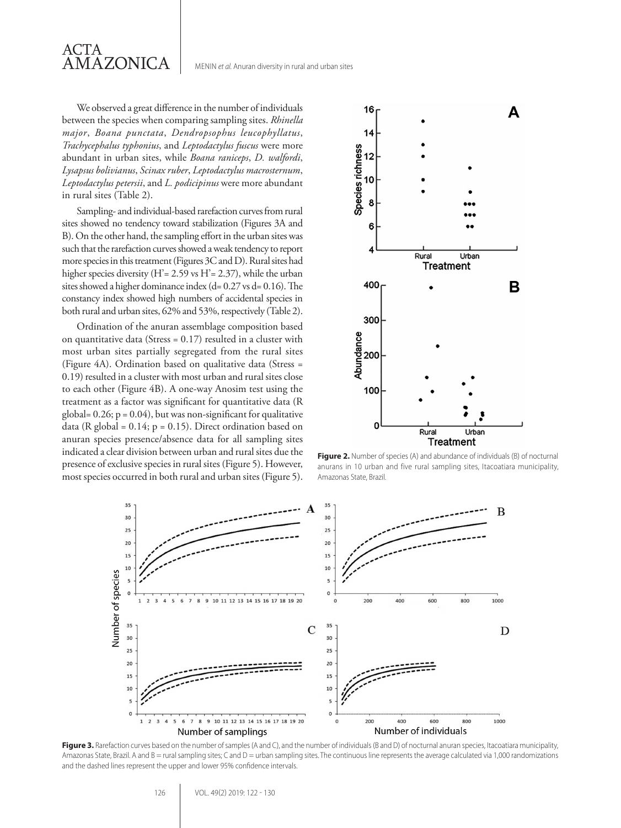

We observed a great difference in the number of individuals between the species when comparing sampling sites. *Rhinella major*, *Boana punctata*, *Dendropsophus leucophyllatus*, *Trachycephalus typhonius*, and *Leptodactylus fuscus* were more abundant in urban sites, while *Boana raniceps*, *D. walfordi*, *Lysapsus bolivianus*, *Scinax ruber*, *Leptodactylus macrosternum*, *Leptodactylus petersii*, and *L. podicipinus* were more abundant in rural sites (Table 2).

Sampling- and individual-based rarefaction curves from rural sites showed no tendency toward stabilization (Figures 3A and B). On the other hand, the sampling effort in the urban sites was such that the rarefaction curves showed a weak tendency to report more species in this treatment (Figures 3C and D). Rural sites had higher species diversity (H'= 2.59 vs H'= 2.37), while the urban sites showed a higher dominance index (d= 0.27 vs d= 0.16). The constancy index showed high numbers of accidental species in both rural and urban sites, 62% and 53%, respectively (Table 2).

Ordination of the anuran assemblage composition based on quantitative data (Stress = 0.17) resulted in a cluster with most urban sites partially segregated from the rural sites (Figure 4A). Ordination based on qualitative data (Stress = 0.19) resulted in a cluster with most urban and rural sites close to each other (Figure 4B). A one-way Anosim test using the treatment as a factor was significant for quantitative data (R global=  $0.26$ ;  $p = 0.04$ ), but was non-significant for qualitative data (R global =  $0.14$ ; p =  $0.15$ ). Direct ordination based on anuran species presence/absence data for all sampling sites indicated a clear division between urban and rural sites due the presence of exclusive species in rural sites (Figure 5). However, most species occurred in both rural and urban sites (Figure 5).



**Figure 2.** Number of species (A) and abundance of individuals (B) of nocturnal anurans in 10 urban and five rural sampling sites, Itacoatiara municipality, Amazonas State, Brazil.



Figure 3. Rarefaction curves based on the number of samples (A and C), and the number of individuals (B and D) of nocturnal anuran species, Itacoatiara municipality, Amazonas State, Brazil. A and B = rural sampling sites; C and D = urban sampling sites. The continuous line represents the average calculated via 1,000 randomizations and the dashed lines represent the upper and lower 95% confidence intervals.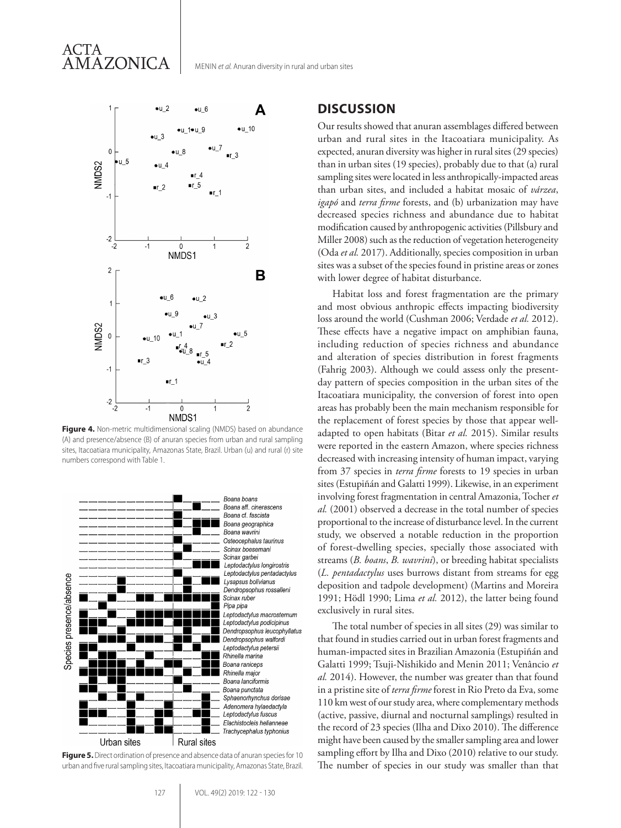

ACTA

AMAZONICA

**Figure 4.** Non-metric multidimensional scaling (NMDS) based on abundance (A) and presence/absence (B) of anuran species from urban and rural sampling sites, Itacoatiara municipality, Amazonas State, Brazil. Urban (u) and rural (r) site numbers correspond with Table 1.



**Figure 5.** Direct ordination of presence and absence data of anuran species for 10 urban and five rural sampling sites, Itacoatiara municipality, Amazonas State, Brazil.

## **DISCUSSION**

Our results showed that anuran assemblages differed between urban and rural sites in the Itacoatiara municipality. As expected, anuran diversity was higher in rural sites (29 species) than in urban sites (19 species), probably due to that (a) rural sampling sites were located in less anthropically-impacted areas than urban sites, and included a habitat mosaic of *várzea*, *igapó* and *terra firme* forests, and (b) urbanization may have decreased species richness and abundance due to habitat modification caused by anthropogenic activities (Pillsbury and Miller 2008) such as the reduction of vegetation heterogeneity (Oda *et al.* 2017). Additionally, species composition in urban sites was a subset of the species found in pristine areas or zones with lower degree of habitat disturbance.

Habitat loss and forest fragmentation are the primary and most obvious anthropic effects impacting biodiversity loss around the world (Cushman 2006; Verdade *et al.* 2012). These effects have a negative impact on amphibian fauna, including reduction of species richness and abundance and alteration of species distribution in forest fragments (Fahrig 2003). Although we could assess only the presentday pattern of species composition in the urban sites of the Itacoatiara municipality, the conversion of forest into open areas has probably been the main mechanism responsible for the replacement of forest species by those that appear welladapted to open habitats (Bitar *et al.* 2015). Similar results were reported in the eastern Amazon, where species richness decreased with increasing intensity of human impact, varying from 37 species in *terra firme* forests to 19 species in urban sites (Estupiñán and Galatti 1999). Likewise, in an experiment involving forest fragmentation in central Amazonia, Tocher *et al.* (2001) observed a decrease in the total number of species proportional to the increase of disturbance level. In the current study, we observed a notable reduction in the proportion of forest-dwelling species, specially those associated with streams (*B. boans*, *B. wavrini*), or breeding habitat specialists (*L. pentadactylus* uses burrows distant from streams for egg deposition and tadpole development) (Martins and Moreira 1991; Hödl 1990; Lima *et al.* 2012), the latter being found exclusively in rural sites.

The total number of species in all sites (29) was similar to that found in studies carried out in urban forest fragments and human-impacted sites in Brazilian Amazonia (Estupiñán and Galatti 1999; Tsuji-Nishikido and Menin 2011; Venâncio *et al.* 2014). However, the number was greater than that found in a pristine site of *terra firme* forest in Rio Preto da Eva, some 110 km west of our study area, where complementary methods (active, passive, diurnal and nocturnal samplings) resulted in the record of 23 species (Ilha and Dixo 2010). The difference might have been caused by the smaller sampling area and lower sampling effort by Ilha and Dixo (2010) relative to our study. The number of species in our study was smaller than that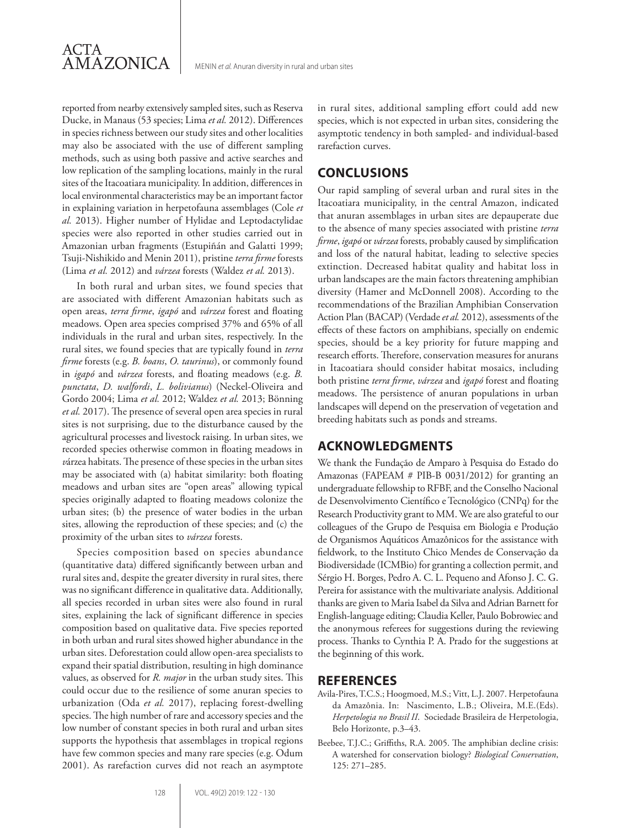

reported from nearby extensively sampled sites, such as Reserva Ducke, in Manaus (53 species; Lima *et al.* 2012). Differences in species richness between our study sites and other localities may also be associated with the use of different sampling methods, such as using both passive and active searches and low replication of the sampling locations, mainly in the rural sites of the Itacoatiara municipality. In addition, differences in local environmental characteristics may be an important factor in explaining variation in herpetofauna assemblages (Cole *et al.* 2013). Higher number of Hylidae and Leptodactylidae species were also reported in other studies carried out in Amazonian urban fragments (Estupiñán and Galatti 1999; Tsuji-Nishikido and Menin 2011), pristine *terra firme* forests (Lima *et al.* 2012) and *várzea* forests (Waldez *et al.* 2013).

In both rural and urban sites, we found species that are associated with different Amazonian habitats such as open areas, *terra firme*, *igapó* and *várzea* forest and floating meadows. Open area species comprised 37% and 65% of all individuals in the rural and urban sites, respectively. In the rural sites, we found species that are typically found in *terra firme* forests (e.g. *B. boans*, *O. taurinus*), or commonly found in *igapó* and *várzea* forests, and floating meadows (e.g. *B. punctata*, *D. walfordi*, *L. bolivianus*) (Neckel-Oliveira and Gordo 2004; Lima *et al.* 2012; Waldez *et al.* 2013; Bönning *et al.* 2017). The presence of several open area species in rural sites is not surprising, due to the disturbance caused by the agricultural processes and livestock raising. In urban sites, we recorded species otherwise common in floating meadows in *v*árzea habitats. The presence of these species in the urban sites may be associated with (a) habitat similarity: both floating meadows and urban sites are "open areas" allowing typical species originally adapted to floating meadows colonize the urban sites; (b) the presence of water bodies in the urban sites, allowing the reproduction of these species; and (c) the proximity of the urban sites to *várzea* forests.

Species composition based on species abundance (quantitative data) differed significantly between urban and rural sites and, despite the greater diversity in rural sites, there was no significant difference in qualitative data. Additionally, all species recorded in urban sites were also found in rural sites, explaining the lack of significant difference in species composition based on qualitative data. Five species reported in both urban and rural sites showed higher abundance in the urban sites. Deforestation could allow open-area specialists to expand their spatial distribution, resulting in high dominance values, as observed for *R. major* in the urban study sites. This could occur due to the resilience of some anuran species to urbanization (Oda *et al.* 2017), replacing forest-dwelling species. The high number of rare and accessory species and the low number of constant species in both rural and urban sites supports the hypothesis that assemblages in tropical regions have few common species and many rare species (e.g. Odum 2001). As rarefaction curves did not reach an asymptote in rural sites, additional sampling effort could add new species, which is not expected in urban sites, considering the asymptotic tendency in both sampled- and individual-based rarefaction curves.

## **CONCLUSIONS**

Our rapid sampling of several urban and rural sites in the Itacoatiara municipality, in the central Amazon, indicated that anuran assemblages in urban sites are depauperate due to the absence of many species associated with pristine *terra firme*, *igapó* or *várzea* forests, probably caused by simplification and loss of the natural habitat, leading to selective species extinction. Decreased habitat quality and habitat loss in urban landscapes are the main factors threatening amphibian diversity (Hamer and McDonnell 2008). According to the recommendations of the Brazilian Amphibian Conservation Action Plan (BACAP) (Verdade *et al.* 2012), assessments of the effects of these factors on amphibians, specially on endemic species, should be a key priority for future mapping and research efforts. Therefore, conservation measures for anurans in Itacoatiara should consider habitat mosaics, including both pristine *terra firme*, *várzea* and *igapó* forest and floating meadows. The persistence of anuran populations in urban landscapes will depend on the preservation of vegetation and breeding habitats such as ponds and streams.

## **ACKNOWLEDGMENTS**

We thank the Fundação de Amparo à Pesquisa do Estado do Amazonas (FAPEAM # PIB-B 0031/2012) for granting an undergraduate fellowship to RFBF, and the Conselho Nacional de Desenvolvimento Científico e Tecnológico (CNPq) for the Research Productivity grant to MM. We are also grateful to our colleagues of the Grupo de Pesquisa em Biologia e Produção de Organismos Aquáticos Amazônicos for the assistance with fieldwork, to the Instituto Chico Mendes de Conservação da Biodiversidade (ICMBio) for granting a collection permit, and Sérgio H. Borges, Pedro A. C. L. Pequeno and Afonso J. C. G. Pereira for assistance with the multivariate analysis. Additional thanks are given to Maria Isabel da Silva and Adrian Barnett for English-language editing; Claudia Keller, Paulo Bobrowiec and the anonymous referees for suggestions during the reviewing process. Thanks to Cynthia P. A. Prado for the suggestions at the beginning of this work.

#### **REFERENCES**

- Avila-Pires, T.C.S.; Hoogmoed, M.S.; Vitt, L.J. 2007. Herpetofauna da Amazônia. In: Nascimento, L.B.; Oliveira, M.E.(Eds). *Herpetologia no Brasil II*. Sociedade Brasileira de Herpetologia, Belo Horizonte, p.3–43.
- Beebee, T.J.C.; Griffiths, R.A. 2005. The amphibian decline crisis: A watershed for conservation biology? *Biological Conservation*, 125: 271–285.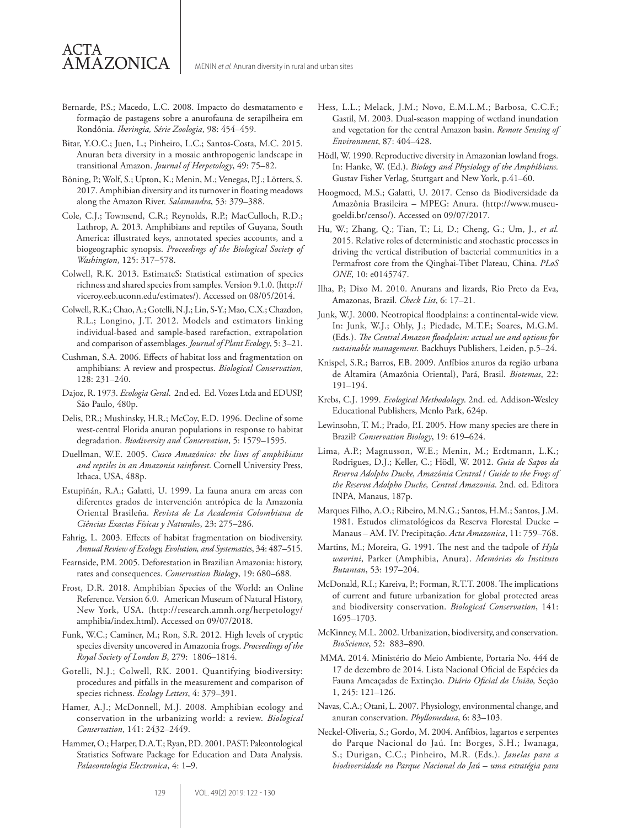Bernarde, P.S.; Macedo, L.C. 2008. Impacto do desmatamento e formação de pastagens sobre a anurofauna de serapilheira em Rondônia. *Iheringia, Série Zoologia*, 98: 454–459.

ACTA

AMAZONICA

- Bitar, Y.O.C.; Juen, L.; Pinheiro, L.C.; Santos-Costa, M.C. 2015. Anuran beta diversity in a mosaic anthropogenic landscape in transitional Amazon. *Journal of Herpetology*, 49: 75–82.
- Böning, P.; Wolf, S.; Upton, K.; Menin, M.; Venegas, P.J.; Lötters, S. 2017. Amphibian diversity and its turnover in floating meadows along the Amazon River. *Salamandra*, 53: 379–388.
- Cole, C.J.; Townsend, C.R.; Reynolds, R.P.; MacCulloch, R.D.; Lathrop, A. 2013. Amphibians and reptiles of Guyana, South America: illustrated keys, annotated species accounts, and a biogeographic synopsis. *Proceedings of the Biological Society of Washington*, 125: 317–578.
- Colwell, R.K. 2013. EstimateS: Statistical estimation of species richness and shared species from samples. Version 9.1.0. (http:// viceroy.eeb.uconn.edu/estimates/). Accessed on 08/05/2014.
- Colwell, R.K.; Chao, A.; Gotelli, N.J.; Lin, S-Y.; Mao, C.X.; Chazdon, R.L.; Longino, J.T. 2012. Models and estimators linking individual-based and sample-based rarefaction, extrapolation and comparison of assemblages. *Journal of Plant Ecology*, 5: 3–21.
- Cushman, S.A. 2006. Effects of habitat loss and fragmentation on amphibians: A review and prospectus. *Biological Conservation*, 128: 231–240.
- Dajoz, R. 1973. *Ecologia Geral*. 2nd ed. Ed. Vozes Ltda and EDUSP, São Paulo, 480p.
- Delis, P.R.; Mushinsky, H.R.; McCoy, E.D. 1996. Decline of some west-central Florida anuran populations in response to habitat degradation. *Biodiversity and Conservation*, 5: 1579–1595.
- Duellman, W.E. 2005. *Cusco Amazónico: the lives of amphibians and reptiles in an Amazonia rainforest*. Cornell University Press, Ithaca, USA, 488p.
- Estupiñán, R.A.; Galatti, U. 1999. La fauna anura em areas con diferentes grados de intervención antrópica de la Amazonia Oriental Brasileña. *Revista de La Academia Colombiana de Ciências Exactas Físicas y Naturales*, 23: 275–286.
- Fahrig, L. 2003. Effects of habitat fragmentation on biodiversity. *Annual Review of Ecology, Evolution, and Systematics*, 34: 487–515.
- Fearnside, P.M. 2005. Deforestation in Brazilian Amazonia: history, rates and consequences. *Conservation Biology*, 19: 680–688.
- Frost, D.R. 2018. Amphibian Species of the World: an Online Reference. Version 6.0. American Museum of Natural History, New York, USA. (http://research.amnh.org/herpetology/ amphibia/index.html). Accessed on 09/07/2018.
- Funk, W.C.; Caminer, M.; Ron, S.R. 2012. High levels of cryptic species diversity uncovered in Amazonia frogs. *Proceedings of the Royal Society of London B*, 279: 1806–1814.
- Gotelli, N.J.; Colwell, RK. 2001. Quantifying biodiversity: procedures and pitfalls in the measurement and comparison of species richness. *Ecology Letters*, 4: 379–391.
- Hamer, A.J.; McDonnell, M.J. 2008. Amphibian ecology and conservation in the urbanizing world: a review. *Biological Conservation*, 141: 2432–2449.
- Hammer, O.; Harper, D.A.T.; Ryan, P.D. 2001. PAST: Paleontological Statistics Software Package for Education and Data Analysis. *Palaeontologia Electronica*, 4: 1–9.
- Hess, L.L.; Melack, J.M.; Novo, E.M.L.M.; Barbosa, C.C.F.; Gastil, M. 2003. Dual-season mapping of wetland inundation and vegetation for the central Amazon basin. *Remote Sensing of Environment*, 87: 404–428.
- Hödl, W. 1990. Reproductive diversity in Amazonian lowland frogs. In: Hanke, W. (Ed.). *Biology and Physiology of the Amphibians.* Gustav Fisher Verlag, Stuttgart and New York, p.41–60.
- Hoogmoed, M.S.; Galatti, U. 2017. Censo da Biodiversidade da Amazônia Brasileira – MPEG: Anura. (http://www.museugoeldi.br/censo/). Accessed on 09/07/2017.
- Hu, W.; Zhang, Q.; Tian, T.; Li, D.; Cheng, G.; Um, J., *et al.* 2015. Relative roles of deterministic and stochastic processes in driving the vertical distribution of bacterial communities in a Permafrost core from the Qinghai-Tibet Plateau, China. *PLoS ONE*, 10: e0145747.
- Ilha, P.; Dixo M. 2010. Anurans and lizards, Rio Preto da Eva, Amazonas, Brazil. *Check List*, 6: 17–21.
- Junk, W.J. 2000. Neotropical floodplains: a continental-wide view. In: Junk, W.J.; Ohly, J.; Piedade, M.T.F.; Soares, M.G.M. (Eds.). *The Central Amazon floodplain: actual use and options for sustainable management*. Backhuys Publishers, Leiden, p.5–24.
- Knispel, S.R.; Barros, F.B. 2009. Anfíbios anuros da região urbana de Altamira (Amazônia Oriental), Pará, Brasil. *Biotemas*, 22: 191–194.
- Krebs, C.J. 1999. *Ecological Methodology*. 2nd. ed*.* Addison-Wesley Educational Publishers, Menlo Park, 624p.
- Lewinsohn, T. M.; Prado, P.I. 2005. How many species are there in Brazil? *Conservation Biology*, 19: 619–624.
- Lima, A.P.; Magnusson, W.E.; Menin, M.; Erdtmann, L.K.; Rodrigues, D.J.; Keller, C.; Hödl, W. 2012. *Guia de Sapos da Reserva Adolpho Ducke, Amazônia Central* / *Guide to the Frogs of the Reserva Adolpho Ducke, Central Amazonia*. 2nd. ed. Editora INPA, Manaus, 187p.
- Marques Filho, A.O.; Ribeiro, M.N.G.; Santos, H.M.; Santos, J.M. 1981. Estudos climatológicos da Reserva Florestal Ducke – Manaus – AM. IV. Precipitação. *Acta Amazonica*, 11: 759–768.
- Martins, M.; Moreira, G. 1991. The nest and the tadpole of *Hyla wavrini*, Parker (Amphibia, Anura). *Memórias do Instituto Butantan*, 53: 197–204.
- McDonald, R.I.; Kareiva, P.; Forman, R.T.T. 2008. The implications of current and future urbanization for global protected areas and biodiversity conservation. *Biological Conservation*, 141: 1695–1703.
- McKinney, M.L. 2002. Urbanization, biodiversity, and conservation. *BioScience*, 52: 883–890.
- MMA. 2014. Ministério do Meio Ambiente, Portaria No. 444 de 17 de dezembro de 2014. Lista Nacional Oficial de Espécies da Fauna Ameaçadas de Extinção. *Diário Oficial da União,* Seção 1, 245: 121–126.
- Navas, C.A.; Otani, L. 2007. Physiology, environmental change, and anuran conservation. *Phyllomedusa*, 6: 83–103.
- Neckel-Oliveria, S.; Gordo, M. 2004. Anfíbios, lagartos e serpentes do Parque Nacional do Jaú. In: Borges, S.H.; Iwanaga, S.; Durigan, C.C.; Pinheiro, M.R. (Eds.). *Janelas para a biodiversidade no Parque Nacional do Jaú – uma estratégia para*